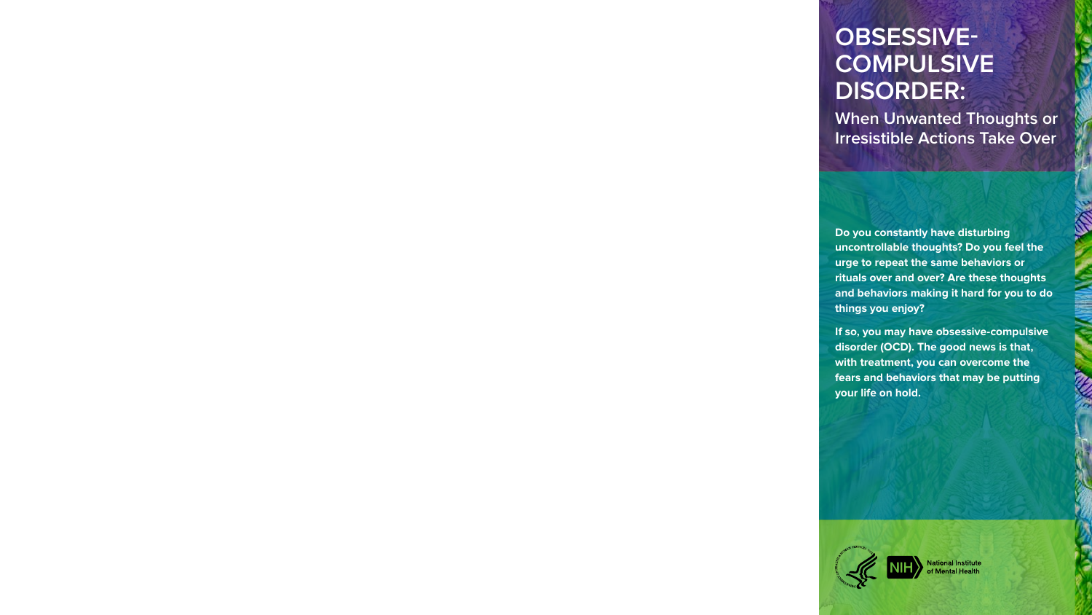# **OBSESSIVE-COMPULSIVE DISORDER:**

**When Unwanted Thoughts or Irresistible Actions Take Over**

**Do you constantly have disturbing uncontrollable thoughts? Do you feel the urge to repeat the same behaviors or rituals over and over? Are these thoughts and behaviors making it hard for you to do things you enjoy?**

**If so, you may have obsessive-compulsive disorder (OCD). The good news is that, with treatment, you can overcome the fears and behaviors that may be putting your life on hold.**



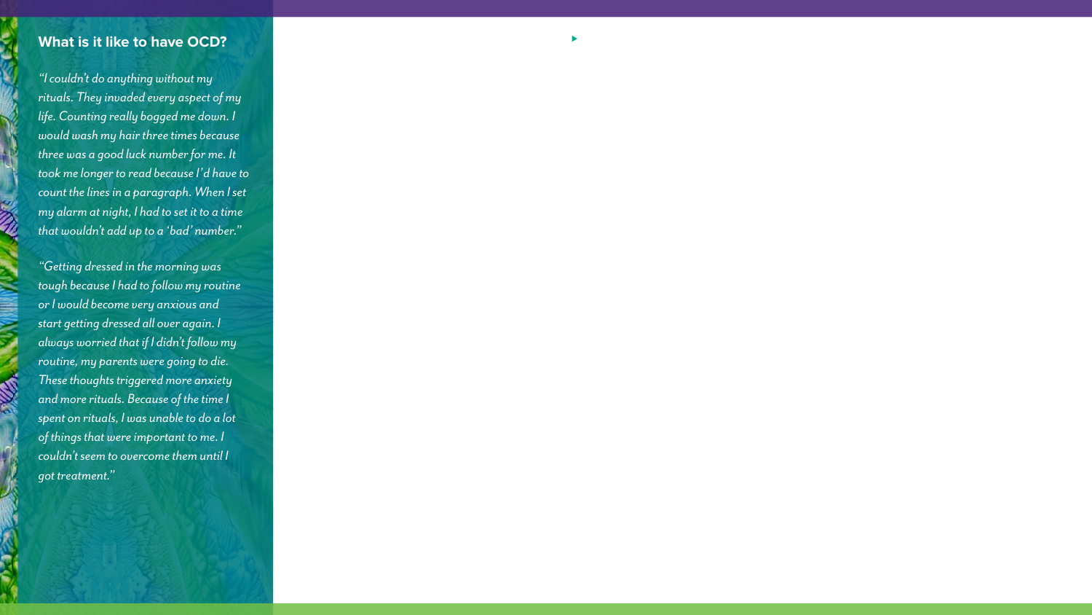## **What is it like to have OCD?**

*"I couldn't do anything without my rituals. They invaded every aspect of my life. Counting really bogged me down. I would wash my hair three times because three was a good luck number for me. It took me longer to read because I'd have to count the lines in a paragraph. When I set my alarm at night, I had to set it to a time that wouldn't add up to a 'bad' number."*

*"Getting dressed in the morning was tough because I had to follow my routine or I would become very anxious and start getting dressed all over again. I always worried that if I didn't follow my routine, my parents were going to die. These thoughts triggered more anxiety and more rituals. Because of the time I spent on rituals, I was unable to do a lot of things that were important to me. I couldn't seem to overcome them until I got treatment."*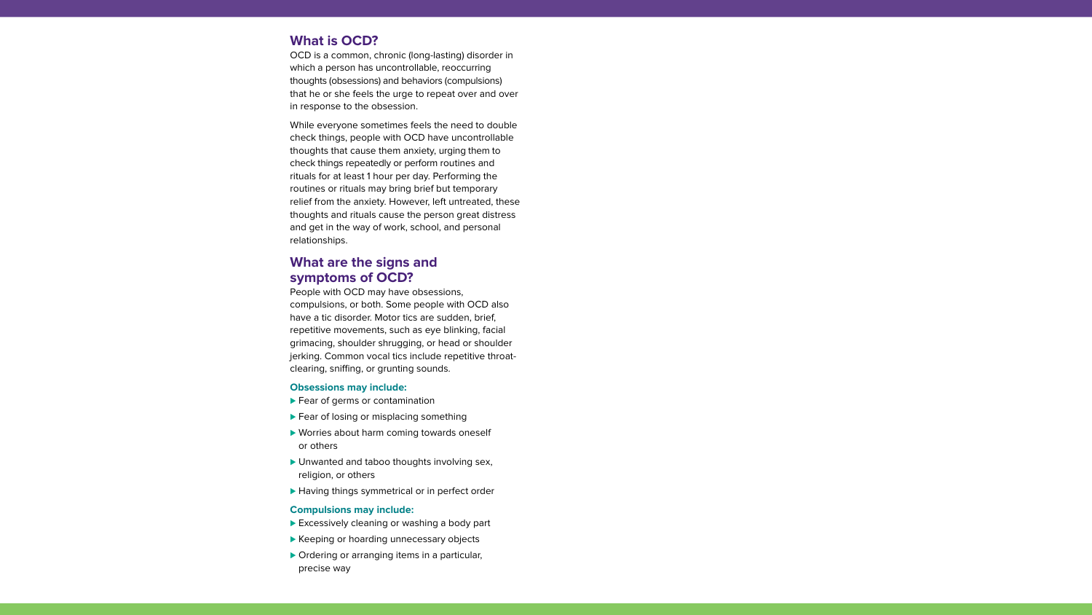# **What is OCD?**

OCD is a common, chronic (long-lasting) disorder in which a person has uncontrollable, reoccurring thoughts (obsessions) and behaviors (compulsions) that he or she feels the urge to repeat over and over in response to the obsession.

While everyone sometimes feels the need to double check things, people with OCD have uncontrollable thoughts that cause them anxiety, urging them to check things repeatedly or perform routines and rituals for at least 1 hour per day. Performing the routines or rituals may bring brief but temporary relief from the anxiety. However, left untreated, these thoughts and rituals cause the person great distress and get in the way of work, school, and personal relationships.

## **What are the signs and symptoms of OCD?**

People with OCD may have obsessions, compulsions, or both. Some people with OCD also have a tic disorder. Motor tics are sudden, brief, repetitive movements, such as eye blinking, facial grimacing, shoulder shrugging, or head or shoulder jerking. Common vocal tics include repetitive throatclearing, sniffing, or grunting sounds.

#### **Obsessions may include:**

- ► Fear of germs or contamination
- ► Fear of losing or misplacing something
- ▶ Worries about harm coming towards oneself or others
- ▶ Unwanted and taboo thoughts involving sex, religion, or others
- ► Having things symmetrical or in perfect order

#### **Compulsions may include:**

- ► Excessively cleaning or washing a body part
- ► Keeping or hoarding unnecessary objects
- ▶ Ordering or arranging items in a particular, precise way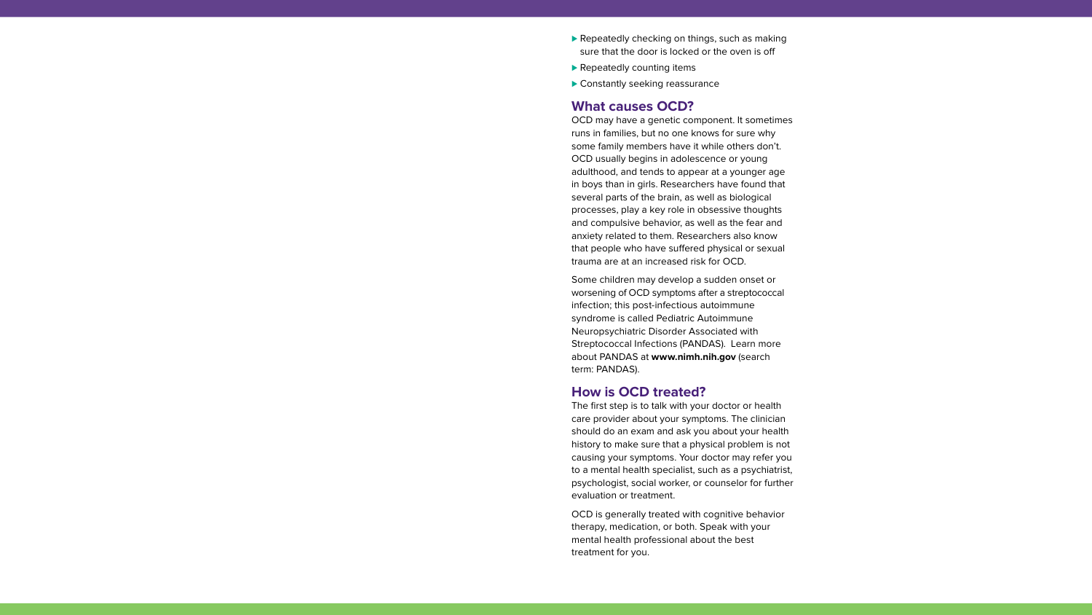- ▶ Repeatedly checking on things, such as making sure that the door is locked or the oven is off
- ▶ Repeatedly counting items
- ▶ Constantly seeking reassurance

## **What causes OCD?**

OCD may have a genetic component. It sometimes runs in families, but no one knows for sure why some family members have it while others don't. OCD usually begins in adolescence or young adulthood, and tends to appear at a younger age in boys than in girls. Researchers have found that several parts of the brain, as well as biological processes, play a key role in obsessive thoughts and compulsive behavior, as well as the fear and anxiety related to them. Researchers also know that people who have suffered physical or sexual trauma are at an increased risk for OCD.

Some children may develop a sudden onset or worsening of OCD symptoms after a streptococcal infection; this post-infectious autoimmune syndrome is called Pediatric Autoimmune Neuropsychiatric Disorder Associated with Streptococcal Infections (PANDAS). Learn more about PANDAS at **[www.nimh.nih.gov](https://www.nimh.nih.gov/)** (search term: PANDAS).

## **How is OCD treated?**

The first step is to talk with your doctor or health care provider about your symptoms. The clinician should do an exam and ask you about your health history to make sure that a physical problem is not causing your symptoms. Your doctor may refer you to a mental health specialist, such as a psychiatrist, psychologist, social worker, or counselor for further evaluation or treatment.

OCD is generally treated with cognitive behavior therapy, medication, or both. Speak with your mental health professional about the best treatment for you.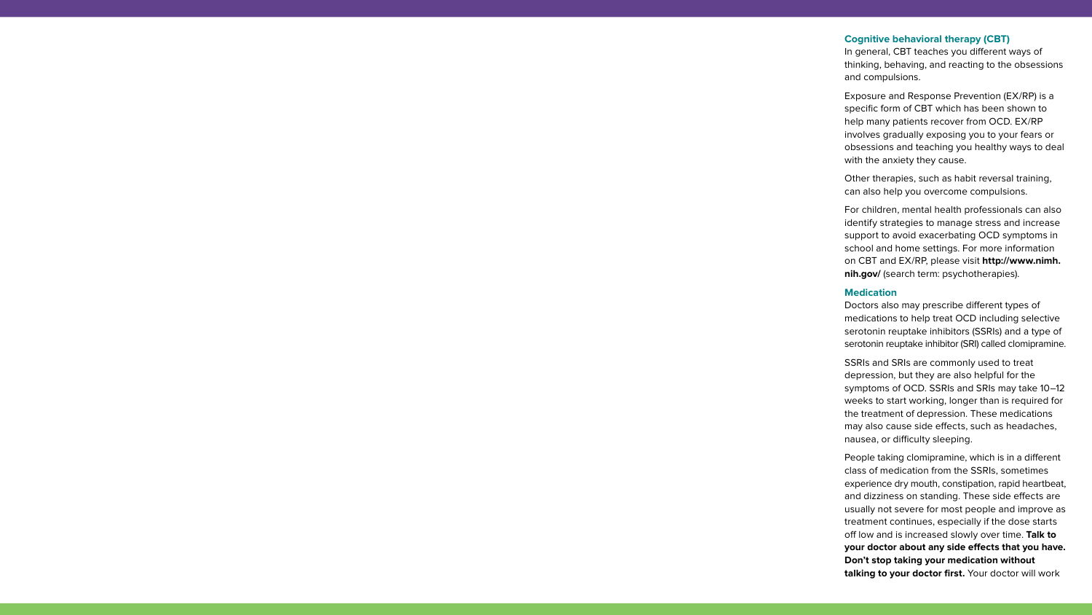#### **Cognitive behavioral therapy (CBT)**

In general, CBT teaches you different ways of thinking, behaving, and reacting to the obsessions and compulsions.

Exposure and Response Prevention (EX/RP) is a specific form of CBT which has been shown to help many patients recover from OCD. EX/RP involves gradually exposing you to your fears or obsessions and teaching you healthy ways to deal with the anxiety they cause.

Other therapies, such as habit reversal training, can also help you overcome compulsions.

For children, mental health professionals can also identify strategies to manage stress and increase support to avoid exacerbating OCD symptoms in school and home settings. For more information [on CBT and EX/RP, please visit](https://www.nimh.nih.gov/) **http://www.nimh. nih.gov/** (search term: psychotherapies).

#### **Medication**

Doctors also may prescribe different types of medications to help treat OCD including selective serotonin reuptake inhibitors (SSRIs) and a type of serotonin reuptake inhibitor (SRI) called clomipramine.

SSRIs and SRIs are commonly used to treat depression, but they are also helpful for the symptoms of OCD. SSRIs and SRIs may take 10–12 weeks to start working, longer than is required for the treatment of depression. These medications may also cause side effects, such as headaches, nausea, or difficulty sleeping.

People taking clomipramine, which is in a different class of medication from the SSRIs, sometimes experience dry mouth, constipation, rapid heartbeat, and dizziness on standing. These side effects are usually not severe for most people and improve as treatment continues, especially if the dose starts off low and is increased slowly over time. **Talk to your doctor about any side effects that you have. Don't stop taking your medication without talking to your doctor first.** Your doctor will work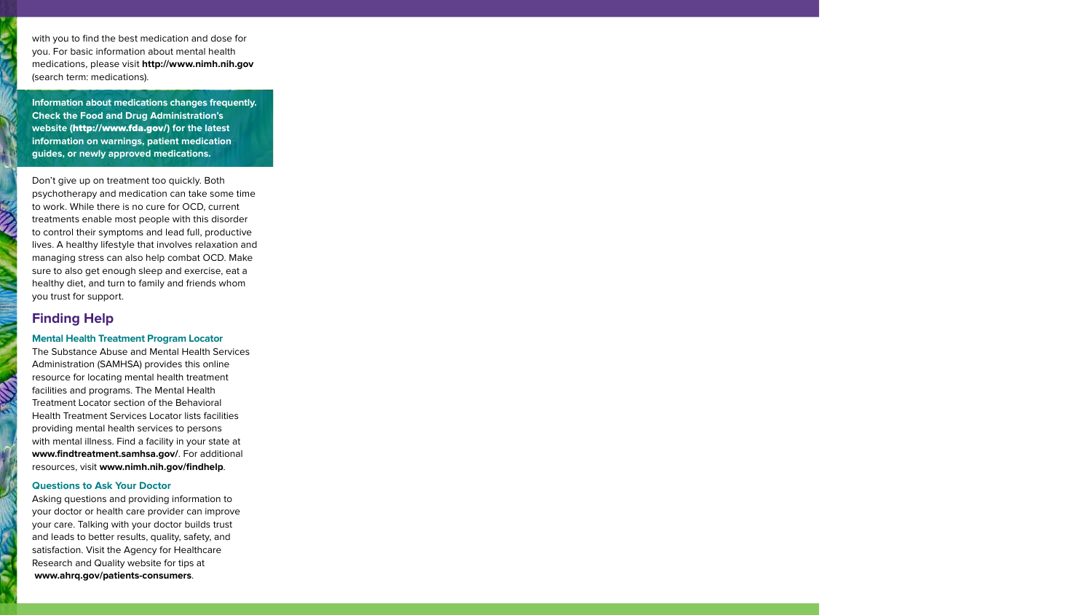with you to find the best medication and dose for you. For basic information about mental health medications, please visit **[http://www.nimh.nih.gov](https://www.nimh.nih.gov/)** (search term: medications).

**Information about medications changes frequently. Check the Food and Drug Administration's website (**<http://www.fda.gov/>**) for the latest information on warnings, patient medication guides, or newly approved medications.** 

Don't give up on treatment too quickly. Both psychotherapy and medication can take some time to work. While there is no cure for OCD, current treatments enable most people with this disorder to control their symptoms and lead full, productive lives. A healthy lifestyle that involves relaxation and managing stress can also help combat OCD. Make sure to also get enough sleep and exercise, eat a healthy diet, and turn to family and friends whom you trust for support.

## **Finding Help**

### **Mental Health Treatment Program Locator**

The Substance Abuse and Mental Health Services Administration (SAMHSA) provides this online resource for locating mental health treatment facilities and programs. The Mental Health Treatment Locator section of the Behavioral Health Treatment Services Locator lists facilities providing mental health services to persons with mental illness. Find a facility in your state at **[www.findtreatment.samhsa.gov/](https://findtreatment.samhsa.gov/)**. For additional resources, visit **[www.nimh.nih.gov/findhelp](https://www.nimh.nih.gov/health/find-help/)**.

#### **Questions to Ask Your Doctor**

Asking questions and providing information to your doctor or health care provider can improve your care. Talking with your doctor builds trust and leads to better results, quality, safety, and satisfaction. Visit the Agency for Healthcare Research and Quality website for tips at **[www.ahrq.gov/patients-consumers](http://www.ahrq.gov/patients-consumers/)**.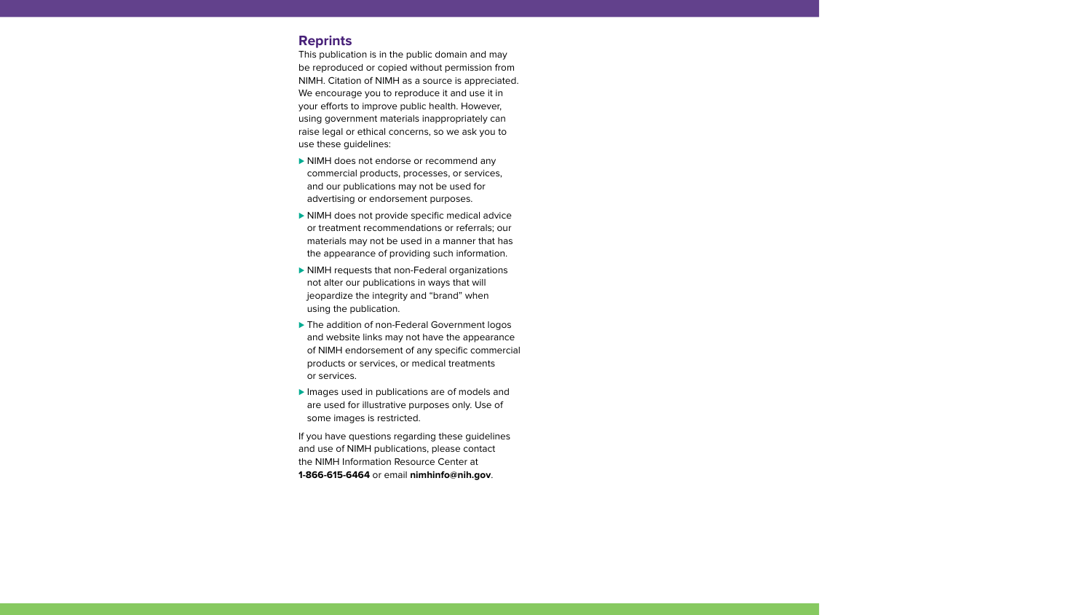## **Reprints**

This publication is in the public domain and may be reproduced or copied without permission from NIMH. Citation of NIMH as a source is appreciated. We encourage you to reproduce it and use it in your efforts to improve public health. However, using government materials inappropriately can raise legal or ethical concerns, so we ask you to use these guidelines:

- ▶ NIMH does not endorse or recommend any commercial products, processes, or services, and our publications may not be used for advertising or endorsement purposes.
- ▶ NIMH does not provide specific medical advice or treatment recommendations or referrals; our materials may not be used in a manner that has the appearance of providing such information.
- ▶ NIMH requests that non-Federal organizations not alter our publications in ways that will jeopardize the integrity and "brand" when using the publication.
- ▶ The addition of non-Federal Government logos and website links may not have the appearance of NIMH endorsement of any specific commercial products or services, or medical treatments or services.
- ▶ Images used in publications are of models and are used for illustrative purposes only. Use of some images is restricted.

If you have questions regarding these guidelines and use of NIMH publications, please contact the NIMH Information Resource Center at **1-866-615-6464** or email **[nimhinfo@nih.gov](mailto:nimhinfo@nih.gov)**.